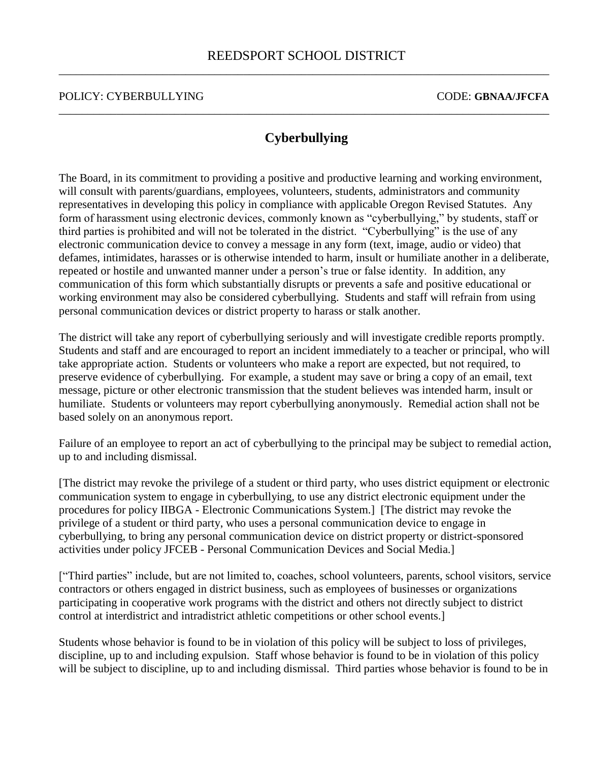## **Cyberbullying**

\_\_\_\_\_\_\_\_\_\_\_\_\_\_\_\_\_\_\_\_\_\_\_\_\_\_\_\_\_\_\_\_\_\_\_\_\_\_\_\_\_\_\_\_\_\_\_\_\_\_\_\_\_\_\_\_\_\_\_\_\_\_\_\_\_\_\_\_\_\_\_\_\_\_\_\_\_\_\_\_\_\_\_\_\_

The Board, in its commitment to providing a positive and productive learning and working environment, will consult with parents/guardians, employees, volunteers, students, administrators and community representatives in developing this policy in compliance with applicable Oregon Revised Statutes. Any form of harassment using electronic devices, commonly known as "cyberbullying," by students, staff or third parties is prohibited and will not be tolerated in the district. "Cyberbullying" is the use of any electronic communication device to convey a message in any form (text, image, audio or video) that defames, intimidates, harasses or is otherwise intended to harm, insult or humiliate another in a deliberate, repeated or hostile and unwanted manner under a person's true or false identity. In addition, any communication of this form which substantially disrupts or prevents a safe and positive educational or working environment may also be considered cyberbullying. Students and staff will refrain from using personal communication devices or district property to harass or stalk another.

The district will take any report of cyberbullying seriously and will investigate credible reports promptly. Students and staff and are encouraged to report an incident immediately to a teacher or principal, who will take appropriate action. Students or volunteers who make a report are expected, but not required, to preserve evidence of cyberbullying. For example, a student may save or bring a copy of an email, text message, picture or other electronic transmission that the student believes was intended harm, insult or humiliate. Students or volunteers may report cyberbullying anonymously. Remedial action shall not be based solely on an anonymous report.

Failure of an employee to report an act of cyberbullying to the principal may be subject to remedial action, up to and including dismissal.

[The district may revoke the privilege of a student or third party, who uses district equipment or electronic communication system to engage in cyberbullying, to use any district electronic equipment under the procedures for policy IIBGA - Electronic Communications System.] [The district may revoke the privilege of a student or third party, who uses a personal communication device to engage in cyberbullying, to bring any personal communication device on district property or district-sponsored activities under policy JFCEB - Personal Communication Devices and Social Media.]

["Third parties" include, but are not limited to, coaches, school volunteers, parents, school visitors, service contractors or others engaged in district business, such as employees of businesses or organizations participating in cooperative work programs with the district and others not directly subject to district control at interdistrict and intradistrict athletic competitions or other school events.]

Students whose behavior is found to be in violation of this policy will be subject to loss of privileges, discipline, up to and including expulsion. Staff whose behavior is found to be in violation of this policy will be subject to discipline, up to and including dismissal. Third parties whose behavior is found to be in